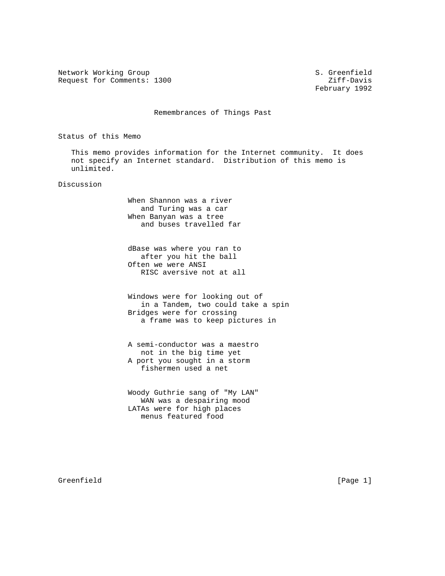Network Working Group S. Greenfield Request for Comments: 1300 Ziff-Davis

February 1992

Remembrances of Things Past

Status of this Memo

 This memo provides information for the Internet community. It does not specify an Internet standard. Distribution of this memo is unlimited.

Discussion

 When Shannon was a river and Turing was a car When Banyan was a tree and buses travelled far

 dBase was where you ran to after you hit the ball Often we were ANSI RISC aversive not at all

 Windows were for looking out of in a Tandem, two could take a spin Bridges were for crossing a frame was to keep pictures in

 A semi-conductor was a maestro not in the big time yet A port you sought in a storm fishermen used a net

 Woody Guthrie sang of "My LAN" WAN was a despairing mood LATAs were for high places menus featured food

Greenfield [Page 1]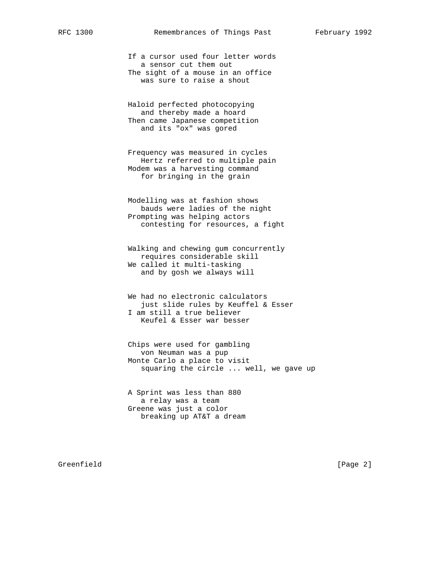If a cursor used four letter words a sensor cut them out The sight of a mouse in an office was sure to raise a shout

 Haloid perfected photocopying and thereby made a hoard Then came Japanese competition and its "ox" was gored

 Frequency was measured in cycles Hertz referred to multiple pain Modem was a harvesting command for bringing in the grain

 Modelling was at fashion shows bauds were ladies of the night Prompting was helping actors contesting for resources, a fight

 Walking and chewing gum concurrently requires considerable skill We called it multi-tasking and by gosh we always will

 We had no electronic calculators just slide rules by Keuffel & Esser I am still a true believer Keufel & Esser war besser

 Chips were used for gambling von Neuman was a pup Monte Carlo a place to visit squaring the circle ... well, we gave up

 A Sprint was less than 880 a relay was a team Greene was just a color breaking up AT&T a dream

Greenfield [Page 2]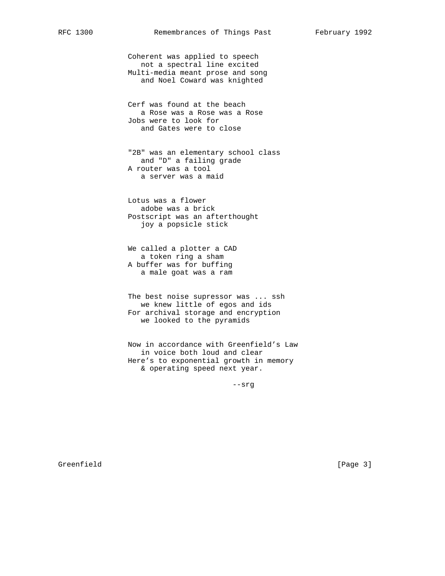Coherent was applied to speech not a spectral line excited Multi-media meant prose and song and Noel Coward was knighted

 Cerf was found at the beach a Rose was a Rose was a Rose Jobs were to look for and Gates were to close

 "2B" was an elementary school class and "D" a failing grade A router was a tool a server was a maid

 Lotus was a flower adobe was a brick Postscript was an afterthought joy a popsicle stick

 We called a plotter a CAD a token ring a sham A buffer was for buffing a male goat was a ram

 The best noise supressor was ... ssh we knew little of egos and ids For archival storage and encryption we looked to the pyramids

 Now in accordance with Greenfield's Law in voice both loud and clear Here's to exponential growth in memory & operating speed next year.

--srg

Greenfield [Page 3]